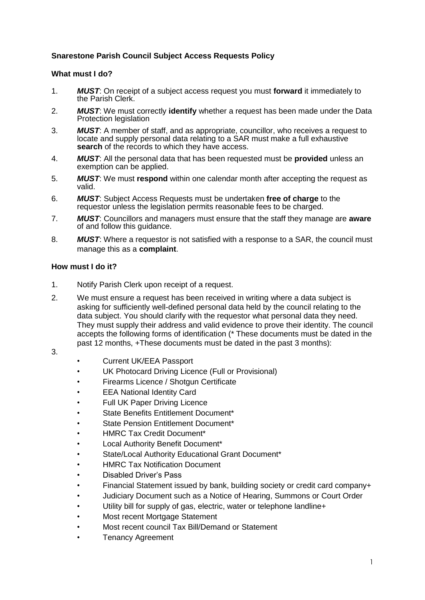## **Snarestone Parish Council Subject Access Requests Policy**

## **What must I do?**

- 1. *MUST*: On receipt of a subject access request you must **forward** it immediately to the Parish Clerk.
- 2. *MUST*: We must correctly **identify** whether a request has been made under the Data Protection legislation
- 3. *MUST*: A member of staff, and as appropriate, councillor, who receives a request to locate and supply personal data relating to a SAR must make a full exhaustive **search** of the records to which they have access.
- 4. *MUST*: All the personal data that has been requested must be **provided** unless an exemption can be applied.
- 5. *MUST*: We must **respond** within one calendar month after accepting the request as valid.
- 6. *MUST*: Subject Access Requests must be undertaken **free of charge** to the requestor unless the legislation permits reasonable fees to be charged.
- 7. *MUST*: Councillors and managers must ensure that the staff they manage are **aware** of and follow this guidance.
- 8. *MUST*: Where a requestor is not satisfied with a response to a SAR, the council must manage this as a **complaint**.

## **How must I do it?**

- 1. Notify Parish Clerk upon receipt of a request.
- 2. We must ensure a request has been received in writing where a data subject is asking for sufficiently well-defined personal data held by the council relating to the data subject. You should clarify with the requestor what personal data they need. They must supply their address and valid evidence to prove their identity. The council accepts the following forms of identification (\* These documents must be dated in the past 12 months, +These documents must be dated in the past 3 months):
- 3.
- Current UK/EEA Passport
- UK Photocard Driving Licence (Full or Provisional)
- Firearms Licence / Shotgun Certificate
- EEA National Identity Card
- Full UK Paper Driving Licence
- State Benefits Entitlement Document\*
- State Pension Entitlement Document\*
- HMRC Tax Credit Document\*
- Local Authority Benefit Document\*
- State/Local Authority Educational Grant Document\*
- **HMRC Tax Notification Document**
- Disabled Driver's Pass
- Financial Statement issued by bank, building society or credit card company+
- Judiciary Document such as a Notice of Hearing, Summons or Court Order
- Utility bill for supply of gas, electric, water or telephone landline+
- Most recent Mortgage Statement
- Most recent council Tax Bill/Demand or Statement
- Tenancy Agreement